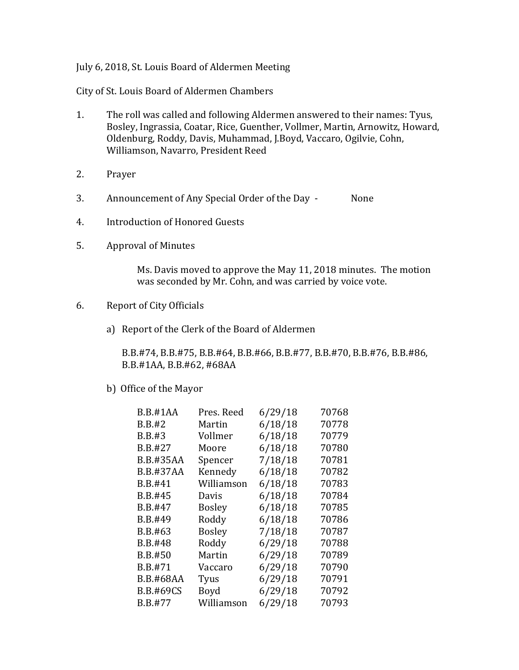## July 6, 2018, St. Louis Board of Aldermen Meeting

City of St. Louis Board of Aldermen Chambers

- 1. The roll was called and following Aldermen answered to their names: Tyus, Bosley, Ingrassia, Coatar, Rice, Guenther, Vollmer, Martin, Arnowitz, Howard, Oldenburg, Roddy, Davis, Muhammad, J.Boyd, Vaccaro, Ogilvie, Cohn, Williamson, Navarro, President Reed
- 2. Prayer
- 3. Announcement of Any Special Order of the Day None
- 4. Introduction of Honored Guests
- 5. Approval of Minutes

Ms. Davis moved to approve the May 11, 2018 minutes. The motion was seconded by Mr. Cohn, and was carried by voice vote.

- 6. Report of City Officials
	- a) Report of the Clerk of the Board of Aldermen

B.B.#74, B.B.#75, B.B.#64, B.B.#66, B.B.#77, B.B.#70, B.B.#76, B.B.#86, B.B.#1AA, B.B.#62, #68AA

b) Office of the Mayor

| B.B.#1AA         | Pres. Reed    | 6/29/18 | 70768 |
|------------------|---------------|---------|-------|
| <b>B.B.#2</b>    | Martin        | 6/18/18 | 70778 |
| B.B.#3           | Vollmer       | 6/18/18 | 70779 |
| B.B.#27          | Moore         | 6/18/18 | 70780 |
| B.B.#35AA        | Spencer       | 7/18/18 | 70781 |
| B.B.#37AA        | Kennedy       | 6/18/18 | 70782 |
| B.B.#41          | Williamson    | 6/18/18 | 70783 |
| B.B.#45          | Davis         | 6/18/18 | 70784 |
| B.B.#47          | <b>Bosley</b> | 6/18/18 | 70785 |
| B.B.#49          | Roddy         | 6/18/18 | 70786 |
| B.B.#63          | <b>Bosley</b> | 7/18/18 | 70787 |
| B.B.#48          | Roddy         | 6/29/18 | 70788 |
| B.B.#50          | Martin        | 6/29/18 | 70789 |
| B.B.#71          | Vaccaro       | 6/29/18 | 70790 |
| <b>B.B.#68AA</b> | Tyus          | 6/29/18 | 70791 |
| <b>B.B.#69CS</b> | Boyd          | 6/29/18 | 70792 |
| B.B.#77          | Williamson    | 6/29/18 | 70793 |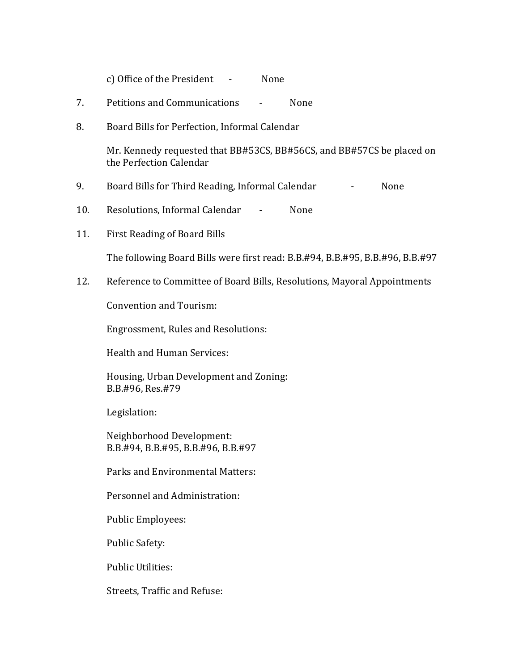c) Office of the President - None

- 7. Petitions and Communications None
- 8. Board Bills for Perfection, Informal Calendar

Mr. Kennedy requested that BB#53CS, BB#56CS, and BB#57CS be placed on the Perfection Calendar

- 9. Board Bills for Third Reading, Informal Calendar Flore Rome
- 10. Resolutions, Informal Calendar None
- 11. First Reading of Board Bills

The following Board Bills were first read: B.B.#94, B.B.#95, B.B.#96, B.B.#97

12. Reference to Committee of Board Bills, Resolutions, Mayoral Appointments

Convention and Tourism:

Engrossment, Rules and Resolutions:

Health and Human Services:

Housing, Urban Development and Zoning: B.B.#96, Res.#79

Legislation:

Neighborhood Development: B.B.#94, B.B.#95, B.B.#96, B.B.#97

Parks and Environmental Matters:

Personnel and Administration:

Public Employees:

Public Safety:

Public Utilities:

Streets, Traffic and Refuse: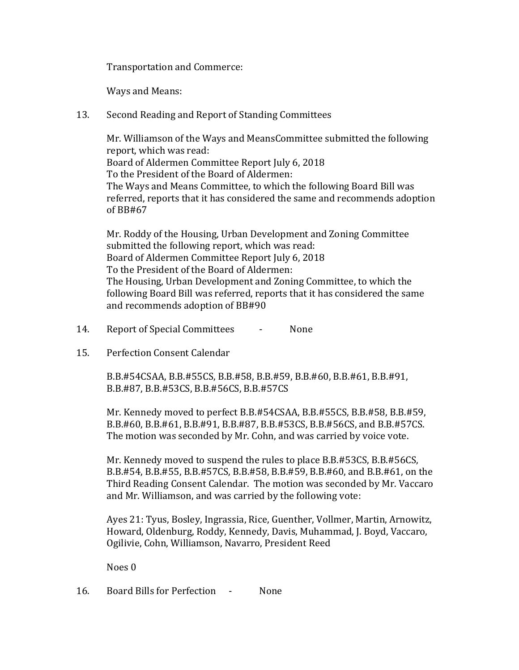Transportation and Commerce:

Ways and Means:

13. Second Reading and Report of Standing Committees

Mr. Williamson of the Ways and MeansCommittee submitted the following report, which was read: Board of Aldermen Committee Report July 6, 2018 To the President of the Board of Aldermen: The Ways and Means Committee, to which the following Board Bill was referred, reports that it has considered the same and recommends adoption of BB#67

Mr. Roddy of the Housing, Urban Development and Zoning Committee submitted the following report, which was read: Board of Aldermen Committee Report July 6, 2018 To the President of the Board of Aldermen: The Housing, Urban Development and Zoning Committee, to which the following Board Bill was referred, reports that it has considered the same and recommends adoption of BB#90

- 14. Report of Special Committees None
- 15. Perfection Consent Calendar

B.B.#54CSAA, B.B.#55CS, B.B.#58, B.B.#59, B.B.#60, B.B.#61, B.B.#91, B.B.#87, B.B.#53CS, B.B.#56CS, B.B.#57CS

Mr. Kennedy moved to perfect B.B.#54CSAA, B.B.#55CS, B.B.#58, B.B.#59, B.B.#60, B.B.#61, B.B.#91, B.B.#87, B.B.#53CS, B.B.#56CS, and B.B.#57CS. The motion was seconded by Mr. Cohn, and was carried by voice vote.

Mr. Kennedy moved to suspend the rules to place B.B.#53CS, B.B.#56CS, B.B.#54, B.B.#55, B.B.#57CS, B.B.#58, B.B.#59, B.B.#60, and B.B.#61, on the Third Reading Consent Calendar. The motion was seconded by Mr. Vaccaro and Mr. Williamson, and was carried by the following vote:

Ayes 21: Tyus, Bosley, Ingrassia, Rice, Guenther, Vollmer, Martin, Arnowitz, Howard, Oldenburg, Roddy, Kennedy, Davis, Muhammad, J. Boyd, Vaccaro, Ogilivie, Cohn, Williamson, Navarro, President Reed

Noes 0

16. Board Bills for Perfection - None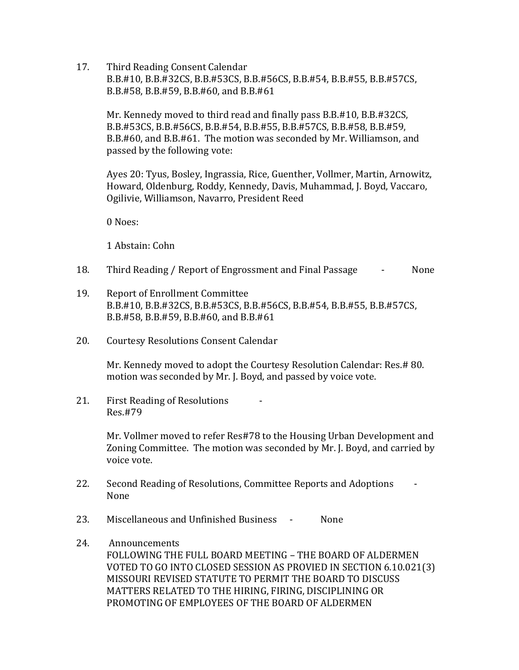17. Third Reading Consent Calendar B.B.#10, B.B.#32CS, B.B.#53CS, B.B.#56CS, B.B.#54, B.B.#55, B.B.#57CS, B.B.#58, B.B.#59, B.B.#60, and B.B.#61

Mr. Kennedy moved to third read and finally pass B.B.#10, B.B.#32CS, B.B.#53CS, B.B.#56CS, B.B.#54, B.B.#55, B.B.#57CS, B.B.#58, B.B.#59, B.B.#60, and B.B.#61. The motion was seconded by Mr. Williamson, and passed by the following vote:

Ayes 20: Tyus, Bosley, Ingrassia, Rice, Guenther, Vollmer, Martin, Arnowitz, Howard, Oldenburg, Roddy, Kennedy, Davis, Muhammad, J. Boyd, Vaccaro, Ogilivie, Williamson, Navarro, President Reed

0 Noes:

1 Abstain: Cohn

- 18. Third Reading / Report of Engrossment and Final Passage None
- 19. Report of Enrollment Committee B.B.#10, B.B.#32CS, B.B.#53CS, B.B.#56CS, B.B.#54, B.B.#55, B.B.#57CS, B.B.#58, B.B.#59, B.B.#60, and B.B.#61
- 20. Courtesy Resolutions Consent Calendar

Mr. Kennedy moved to adopt the Courtesy Resolution Calendar: Res.# 80. motion was seconded by Mr. J. Boyd, and passed by voice vote.

21. First Reading of Resolutions Res.#79

> Mr. Vollmer moved to refer Res#78 to the Housing Urban Development and Zoning Committee. The motion was seconded by Mr. J. Boyd, and carried by voice vote.

- 22. Second Reading of Resolutions, Committee Reports and Adoptions None
- 23. Miscellaneous and Unfinished Business None
- 24. Announcements FOLLOWING THE FULL BOARD MEETING – THE BOARD OF ALDERMEN VOTED TO GO INTO CLOSED SESSION AS PROVIED IN SECTION 6.10.021(3) MISSOURI REVISED STATUTE TO PERMIT THE BOARD TO DISCUSS MATTERS RELATED TO THE HIRING, FIRING, DISCIPLINING OR PROMOTING OF EMPLOYEES OF THE BOARD OF ALDERMEN